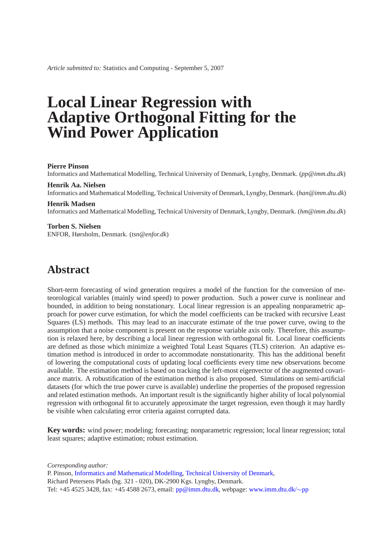*Article submitted to:* Statistics and Computing - September 5, 2007

# **Local Linear Regression with Adaptive Orthogonal Fitting for the Wind Power Application**

#### **Pierre Pinson**

Informatics and Mathematical Modelling, Technical University of Denmark, Lyngby, Denmark. (*pp@imm.dtu.dk*)

#### **Henrik Aa. Nielsen**

Informatics and Mathematical Modelling, Technical University of Denmark, Lyngby, Denmark. (*han@imm.dtu.dk*)

#### **Henrik Madsen**

Informatics and Mathematical Modelling, Technical University of Denmark, Lyngby, Denmark. (*hm@imm.dtu.dk*)

#### **Torben S. Nielsen**

ENFOR, Hørsholm, Denmark. (*tsn@enfor.dk*)

## **Abstract**

Short-term forecasting of wind generation requires a model of the function for the conversion of meteorological variables (mainly wind speed) to power production. Such a power curve is nonlinear and bounded, in addition to being nonstationary. Local linear regression is an appealing nonparametric approach for power curve estimation, for which the model coefficients can be tracked with recursive Least Squares (LS) methods. This may lead to an inaccurate estimate of the true power curve, owing to the assumption that a noise component is present on the response variable axis only. Therefore, this assumption is relaxed here, by describing a local linear regression with orthogonal fit. Local linear coefficients are defined as those which minimize a weighted Total Least Squares (TLS) criterion. An adaptive estimation method is introduced in order to accommodate nonstationarity. This has the additional benefit of lowering the computational costs of updating local coefficients every time new observations become available. The estimation method is based on tracking the left-most eigenvector of the augmented covariance matrix. A robustification of the estimation method is also proposed. Simulations on semi-artificial datasets (for which the true power curve is available) underline the properties of the proposed regression and related estimation methods. An important result is the significantly higher ability of local polynomial regression with orthogonal fit to accurately approximate the target regression, even though it may hardly be visible when calculating error criteria against corrupted data.

**Key words:** wind power; modeling; forecasting; nonparametric regression; local linear regression; total least squares; adaptive estimation; robust estimation.

*Corresponding author:*

P. Pinson, [Informatics and Mathematical Modelling,](http://www.imm.dtu.dk) [Technical University of Denmark,](http://www.dtu.dk) Richard Petersens Plads (bg. 321 - 020), DK-2900 Kgs. Lyngby, Denmark. Tel: +45 4525 3428, fax: +45 4588 2673, email: [pp@imm.dtu.dk,](mailto:pp@imm.dtu.dk) webpage: [www.imm.dtu.dk/](http://www2.imm.dtu.dk/~pp)∼pp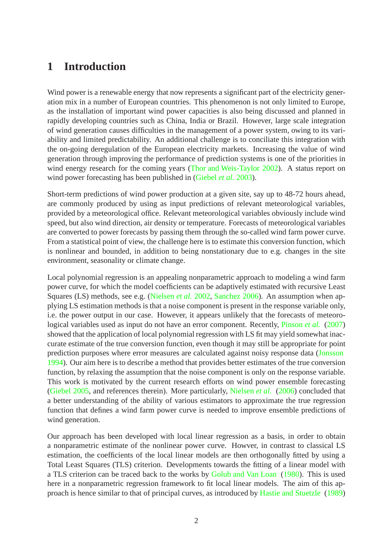## **1 Introduction**

Wind power is a renewable energy that now represents a significant part of the electricity generation mix in a number of European countries. This phenomenon is not only limited to Europe, as the installation of important wind power capacities is also being discussed and planned in rapidly developing countries such as China, India or Brazil. However, large scale integration of wind generation causes difficulties in the management of a power system, owing to its variability and limited predictability. An additional challenge is to conciliate this integration with the on-going deregulation of the European electricity markets. Increasing the value of wind generation through improving the performance of prediction systems is one of the priorities in wind energy research for the coming years [\(Thor and Weis-Taylor 2002](#page-19-0)). A status report on wind power forecasting has been published in [\(Giebel](#page-18-0) *et al.* [2003\)](#page-18-0).

Short-term predictions of wind power production at a given site, say up to 48-72 hours ahead, are commonly produced by using as input predictions of relevant meteorological variables, provided by a meteorological office. Relevant meteorological variables obviously include wind speed, but also wind direction, air density or temperature. Forecasts of meteorological variables are converted to power forecasts by passing them through the so-called wind farm power curve. From a statistical point of view, the challenge here is to estimate this conversion function, which is nonlinear and bounded, in addition to being nonstationary due to e.g. changes in the site environment, seasonality or climate change.

Local polynomial regression is an appealing nonparametric approach to modeling a wind farm power curve, for which the model coefficients can be adaptively estimated with recursive Least Squares (LS) methods, see e.g. [\(Nielsen](#page-19-1) *et al.* [2002,](#page-19-1) [Sanchez 2006](#page-19-2)). An assumption when applying LS estimation methods is that a noise component is present in the response variable only, i.e. the power output in our case. However, it appears unlikely that the forecasts of meteorological variables used as input do not have an error component. Recently, *[Pinson](#page-19-3) et al.* [\(2007\)](#page-19-3) showed that the application of local polynomial regression with LS fit may yield somewhat inaccurate estimate of the true conversion function, even though it may still be appropriate for point prediction purposes where error measures are calculated against noisy response data [\(Jonsson](#page-18-1) [1994\)](#page-18-1). Our aim here is to describe a method that provides better estimates of the true conversion function, by relaxing the assumption that the noise component is only on the response variable. This work is motivated by the current research efforts on wind power ensemble forecasting [\(Giebel 2005](#page-18-2), and references therein). More particularly, [Nielsen](#page-19-4) *et al.* [\(2006\)](#page-19-4) concluded that a better understanding of the ability of various estimators to approximate the true regression function that defines a wind farm power curve is needed to improve ensemble predictions of wind generation.

Our approach has been developed with local linear regression as a basis, in order to obtain a nonparametric estimate of the nonlinear power curve. Howver, in contrast to classical LS estimation, the coefficients of the local linear models are then orthogonally fitted by using a Total Least Squares (TLS) criterion. Developments towards the fitting of a linear model with a TLS criterion can be traced back to the works by [Golub and Van Loan](#page-18-3) [\(1980](#page-18-3)). This is used here in a nonparametric regression framework to fit local linear models. The aim of this approach is hence similar to that of principal curves, as introduced by [Hastie and Stuetzle](#page-18-4) [\(1989\)](#page-18-4)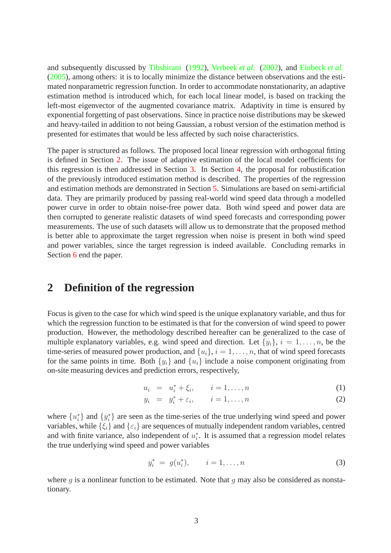and subsequently discussed by [Tibshirani](#page-19-5) [\(1992\)](#page-19-5), [Verbeek](#page-19-6) *et al.* [\(2002](#page-19-6)), and [Einbeck](#page-18-5) *et al.* [\(2005\)](#page-18-5), among others: it is to locally minimize the distance between observations and the estimated nonparametric regression function. In order to accommodate nonstationarity, an adaptive estimation method is introduced which, for each local linear model, is based on tracking the left-most eigenvector of the augmented covariance matrix. Adaptivity in time is ensured by exponential forgetting of past observations. Since in practice noise distributions may be skewed and heavy-tailed in addition to not being Gaussian, a robust version of the estimation method is presented for estimates that would be less affected by such noise characteristics.

The paper is structured as follows. The proposed local linear regression with orthogonal fitting is defined in Section [2.](#page-2-0) The issue of adaptive estimation of the local model coefficients for this regression is then addressed in Section [3.](#page-5-0) In Section [4,](#page-9-0) the proposal for robustification of the previously introduced estimation method is described. The properties of the regression and estimation methods are demonstrated in Section [5.](#page-11-0) Simulations are based on semi-artificial data. They are primarily produced by passing real-world wind speed data through a modelled power curve in order to obtain noise-free power data. Both wind speed and power data are then corrupted to generate realistic datasets of wind speed forecasts and corresponding power measurements. The use of such datasets will allow us to demonstrate that the proposed method is better able to approximate the target regression when noise is present in both wind speed and power variables, since the target regression is indeed available. Concluding remarks in Section [6](#page-16-0) end the paper.

## <span id="page-2-0"></span>**2 Definition of the regression**

Focus is given to the case for which wind speed is the unique explanatory variable, and thus for which the regression function to be estimated is that for the conversion of wind speed to power production. However, the methodology described hereafter can be generalized to the case of multiple explanatory variables, e.g. wind speed and direction. Let  $\{y_i\}, i = 1, \ldots, n$ , be the time-series of measured power production, and  $\{u_i\}$ ,  $i = 1, \ldots, n$ , that of wind speed forecasts for the same points in time. Both  $\{y_i\}$  and  $\{u_i\}$  include a noise component originating from on-site measuring devices and prediction errors, respectively,

<span id="page-2-1"></span>
$$
u_i = u_i^* + \xi_i, \qquad i = 1, \dots, n
$$
 (1)

$$
y_i = y_i^* + \varepsilon_i, \qquad i = 1, \dots, n
$$
 (2)

where  $\{u_i^*\}$  $\{y_i^*\}$  and  $\{y_i^*\}$  $i$ } are seen as the time-series of the true underlying wind speed and power variables, while  $\{\xi_i\}$  and  $\{\varepsilon_i\}$  are sequences of mutually independent random variables, centred and with finite variance, also independent of  $u_i^*$  $i$ . It is assumed that a regression model relates the true underlying wind speed and power variables

<span id="page-2-2"></span>
$$
y_i^* = g(u_i^*), \qquad i = 1, \dots, n
$$
 (3)

where q is a nonlinear function to be estimated. Note that q may also be considered as nonstationary.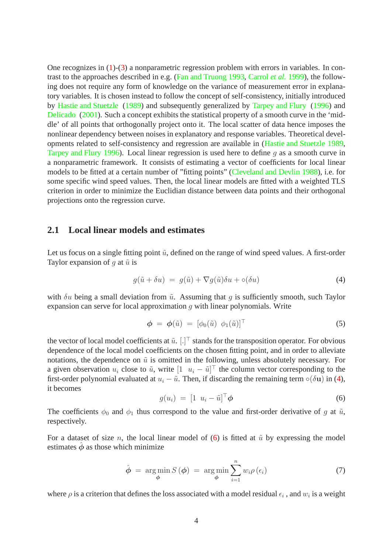One recognizes in [\(1\)](#page-2-1)-[\(3\)](#page-2-2) a nonparametric regression problem with errors in variables. In contrast to the approaches described in e.g. [\(Fan and Truong 1993,](#page-18-6) [Carrol](#page-18-7) *et al.* [1999\)](#page-18-7), the following does not require any form of knowledge on the variance of measurement error in explanatory variables. It is chosen instead to follow the concept of self-consistency, initially introduced by [Hastie and Stuetzle](#page-18-4) [\(1989\)](#page-18-4) and subsequently generalized by [Tarpey and Flury](#page-19-7) [\(1996\)](#page-19-7) and [Delicado](#page-18-8) [\(2001\)](#page-18-8). Such a concept exhibits the statistical property of a smooth curve in the 'middle' of all points that orthogonally project onto it. The local scatter of data hence imposes the nonlinear dependency between noises in explanatory and response variables. Theoretical developments related to self-consistency and regression are available in [\(Hastie and Stuetzle 1989,](#page-18-4) [Tarpey and Flury 1996\)](#page-19-7). Local linear regression is used here to define  $q$  as a smooth curve in a nonparametric framework. It consists of estimating a vector of coefficients for local linear models to be fitted at a certain number of "fitting points" [\(Cleveland and Devlin 1988\)](#page-18-9), i.e. for some specific wind speed values. Then, the local linear models are fitted with a weighted TLS criterion in order to minimize the Euclidian distance between data points and their orthogonal projections onto the regression curve.

#### **2.1 Local linear models and estimates**

Let us focus on a single fitting point  $\tilde{u}$ , defined on the range of wind speed values. A first-order Taylor expansion of q at  $\tilde{u}$  is

$$
g(\tilde{u} + \delta u) = g(\tilde{u}) + \nabla g(\tilde{u})\delta u + o(\delta u)
$$
\n(4)

<span id="page-3-0"></span>with  $\delta u$  being a small deviation from  $\tilde{u}$ . Assuming that q is sufficiently smooth, such Taylor expansion can serve for local approximation  $q$  with linear polynomials. Write

$$
\boldsymbol{\phi} = \boldsymbol{\phi}(\tilde{u}) = [\phi_0(\tilde{u}) \; \phi_1(\tilde{u})]^\top \tag{5}
$$

the vector of local model coefficients at  $\tilde{u}$ . [.]<sup> $\top$ </sup> stands for the transposition operator. For obvious dependence of the local model coefficients on the chosen fitting point, and in order to alleviate notations, the dependence on  $\tilde{u}$  is omitted in the following, unless absolutely necessary. For a given observation  $u_i$  close to  $\tilde{u}$ , write  $\begin{bmatrix} 1 & u_i - \tilde{u} \end{bmatrix}^\top$  the column vector corresponding to the first-order polynomial evaluated at  $u_i - \tilde{u}$ . Then, if discarding the remaining term ∘( $\delta$ **u**) in [\(4\)](#page-3-0), it becomes

<span id="page-3-1"></span>
$$
g(u_i) = \begin{bmatrix} 1 & u_i - \tilde{u} \end{bmatrix}^\top \boldsymbol{\phi} \tag{6}
$$

The coefficients  $\phi_0$  and  $\phi_1$  thus correspond to the value and first-order derivative of g at  $\tilde{u}$ , respectively.

For a dataset of size *n*, the local linear model of [\(6\)](#page-3-1) is fitted at  $\tilde{u}$  by expressing the model estimates  $\hat{\phi}$  as those which minimize

$$
\hat{\boldsymbol{\phi}} = \argmin_{\boldsymbol{\phi}} S(\boldsymbol{\phi}) = \argmin_{\boldsymbol{\phi}} \sum_{i=1}^{n} w_i \rho(\epsilon_i)
$$
\n(7)

<span id="page-3-2"></span>where  $\rho$  is a criterion that defines the loss associated with a model residual  $\epsilon_i$  , and  $w_i$  is a weight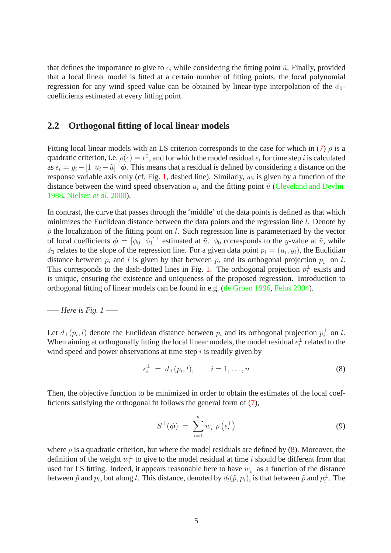that defines the importance to give to  $\epsilon_i$  while considering the fitting point  $\tilde{u}$ . Finally, provided that a local linear model is fitted at a certain number of fitting points, the local polynomial regression for any wind speed value can be obtained by linear-type interpolation of the  $\phi_0$ coefficients estimated at every fitting point.

#### **2.2 Orthogonal fitting of local linear models**

Fitting local linear models with an LS criterion corresponds to the case for which in [\(7\)](#page-3-2)  $\rho$  is a quadratic criterion, i.e.  $\rho(\epsilon) = \epsilon^2$ , and for which the model residual  $\epsilon_i$  for time step i is calculated as  $\epsilon_i = y_i - [1 \ u_i - \tilde{u}]^\top \phi$ . This means that a residual is defined by considering a distance on the response variable axis only (cf. Fig. [1,](#page-20-0) dashed line). Similarly,  $w_i$  is given by a function of the distance between the wind speed observation  $u_i$  and the fitting point  $\tilde{u}$  [\(Cleveland and Devlin](#page-18-9) [1988,](#page-18-9) [Nielsen](#page-19-8) *et al.* [2000](#page-19-8)).

In contrast, the curve that passes through the 'middle' of the data points is defined as that which minimizes the Euclidean distance between the data points and the regression line *l*. Denote by  $\tilde{p}$  the localization of the fitting point on *l*. Such regression line is parameterized by the vector of local coefficients  $\phi = [\phi_0 \quad \phi_1]^\top$  estimated at  $\tilde{u}$ .  $\phi_0$  corresponds to the y-value at  $\tilde{u}$ , while  $\phi_1$  relates to the slope of the regression line. For a given data point  $p_i = (u_i, y_i)$ , the Euclidian distance between  $p_i$  and l is given by that between  $p_i$  and its orthogonal projection  $p_i^{\perp}$  on l. This corresponds to the dash-dotted lines in Fig. [1.](#page-20-0) The orthogonal projection  $p_i^{\perp}$  $\frac{1}{i}$  exists and is unique, ensuring the existence and uniqueness of the proposed regression. Introduction to orthogonal fitting of linear models can be found in e.g. [\(de Groen 1996,](#page-18-10) [Felus 2004\)](#page-18-11).

#### —– *Here is Fig. 1* —–

Let  $d_{\perp}(p_i, l)$  denote the Euclidean distance between  $p_i$  and its orthogonal projection  $p_i^{\perp}$  $\frac{1}{i}$  on l. When aiming at orthogonally fitting the local linear models, the model residual  $\epsilon_i^{\perp}$  $\frac{1}{i}$  related to the wind speed and power observations at time step  $i$  is readily given by

<span id="page-4-0"></span>
$$
\epsilon_i^{\perp} = d_{\perp}(p_i, l), \qquad i = 1, \dots, n
$$
\n(8)

Then, the objective function to be minimized in order to obtain the estimates of the local coefficients satisfying the orthogonal fit follows the general form of [\(7\)](#page-3-2),

<span id="page-4-1"></span>
$$
S^{\perp}(\boldsymbol{\phi}) = \sum_{i=1}^{n} w_i^{\perp} \rho \left( \epsilon_i^{\perp} \right) \tag{9}
$$

where  $\rho$  is a quadratic criterion, but where the model residuals are defined by [\(8\)](#page-4-0). Moreover, the definition of the weight  $w_i^{\perp}$  $i<sub>i</sub>$  to give to the model residual at time i should be different from that used for LS fitting. Indeed, it appears reasonable here to have  $w_i^{\perp}$  $\frac{1}{i}$  as a function of the distance between  $\tilde{p}$  and  $p_i$ , but along l. This distance, denoted by  $d_l(\tilde{p}, p_i)$ , is that between  $\tilde{p}$  and  $p_i^{\perp}$  $\frac{1}{i}$ . The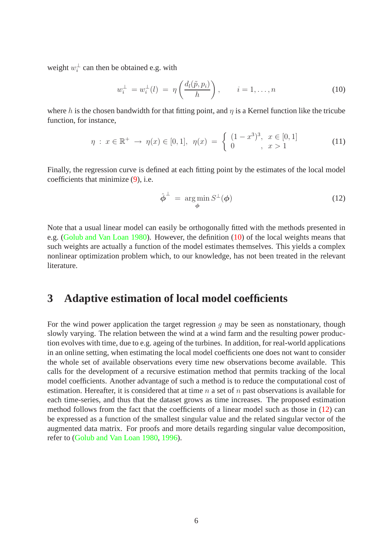<span id="page-5-1"></span>weight  $w_i^{\perp}$  $i<sub>i</sub>$  can then be obtained e.g. with

$$
w_i^{\perp} = w_i^{\perp}(l) = \eta\left(\frac{d_l(\tilde{p}, p_i)}{h}\right), \qquad i = 1, \dots, n \tag{10}
$$

where h is the chosen bandwidth for that fitting point, and  $\eta$  is a Kernel function like the tricube function, for instance,

$$
\eta: x \in \mathbb{R}^+ \to \eta(x) \in [0, 1], \ \eta(x) = \begin{cases} (1 - x^3)^3, & x \in [0, 1] \\ 0, & x > 1 \end{cases}
$$
 (11)

Finally, the regression curve is defined at each fitting point by the estimates of the local model coefficients that minimize [\(9\)](#page-4-1), i.e.

<span id="page-5-2"></span>
$$
\hat{\boldsymbol{\phi}}^{\perp} = \argmin_{\boldsymbol{\phi}} S^{\perp}(\boldsymbol{\phi}) \tag{12}
$$

Note that a usual linear model can easily be orthogonally fitted with the methods presented in e.g. [\(Golub and Van Loan 1980](#page-18-3)). However, the definition [\(10\)](#page-5-1) of the local weights means that such weights are actually a function of the model estimates themselves. This yields a complex nonlinear optimization problem which, to our knowledge, has not been treated in the relevant literature.

### <span id="page-5-0"></span>**3 Adaptive estimation of local model coefficients**

For the wind power application the target regression  $q$  may be seen as nonstationary, though slowly varying. The relation between the wind at a wind farm and the resulting power production evolves with time, due to e.g. ageing of the turbines. In addition, for real-world applications in an online setting, when estimating the local model coefficients one does not want to consider the whole set of available observations every time new observations become available. This calls for the development of a recursive estimation method that permits tracking of the local model coefficients. Another advantage of such a method is to reduce the computational cost of estimation. Hereafter, it is considered that at time n a set of n past observations is available for each time-series, and thus that the dataset grows as time increases. The proposed estimation method follows from the fact that the coefficients of a linear model such as those in [\(12\)](#page-5-2) can be expressed as a function of the smallest singular value and the related singular vector of the augmented data matrix. For proofs and more details regarding singular value decomposition, refer to [\(Golub and Van Loan 1980](#page-18-3), [1996](#page-18-12)).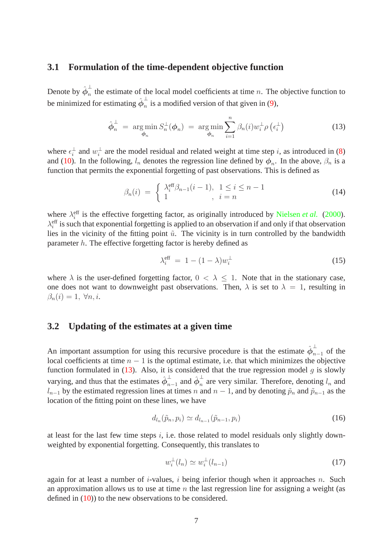#### **3.1 Formulation of the time-dependent objective function**

Denote by  $\hat{\phi}_n^{\perp}$  $\overline{n}$  the estimate of the local model coefficients at time *n*. The objective function to be minimized for estimating  $\hat{\phi}_n^{\perp}$  $\frac{1}{n}$  is a modified version of that given in [\(9\)](#page-4-1),

$$
\hat{\boldsymbol{\phi}}_n^{\perp} = \operatorname*{arg\,min}_{\boldsymbol{\phi}_n} S_n^{\perp}(\boldsymbol{\phi}_n) = \operatorname*{arg\,min}_{\boldsymbol{\phi}_n} \sum_{i=1}^n \beta_n(i) w_i^{\perp} \rho \left( \epsilon_i^{\perp} \right) \tag{13}
$$

<span id="page-6-0"></span>where  $\epsilon_i^{\perp}$  $\frac{1}{i}$  and  $w_i^{\perp}$  $i<sub>i</sub>$  are the model residual and related weight at time step i, as introduced in [\(8\)](#page-4-0) and [\(10\)](#page-5-1). In the following,  $l_n$  denotes the regression line defined by  $\phi_n$ . In the above,  $\beta_n$  is a function that permits the exponential forgetting of past observations. This is defined as

$$
\beta_n(i) = \begin{cases} \lambda_i^{\text{eff}} \beta_{n-1}(i-1), & 1 \le i \le n-1 \\ 1, & i = n \end{cases}
$$
\n(14)

<span id="page-6-3"></span>where  $\lambda_i^{\text{eff}}$  is the effective forgetting factor, as originally introduced by [Nielsen](#page-19-8) *et al.* [\(2000\)](#page-19-8).  $\lambda_i^{\text{eff}}$  is such that exponential forgetting is applied to an observation if and only if that observation lies in the vicinity of the fitting point  $\tilde{u}$ . The vicinity is in turn controlled by the bandwidth parameter  $h$ . The effective forgetting factor is hereby defined as

<span id="page-6-2"></span>
$$
\lambda_i^{\text{eff}} = 1 - (1 - \lambda) w_i^{\perp} \tag{15}
$$

where  $\lambda$  is the user-defined forgetting factor,  $0 < \lambda < 1$ . Note that in the stationary case, one does not want to downweight past observations. Then,  $\lambda$  is set to  $\lambda = 1$ , resulting in  $\beta_n(i) = 1, \forall n, i.$ 

#### **3.2 Updating of the estimates at a given time**

An important assumption for using this recursive procedure is that the estimate  $\hat{\phi}_{n-1}^{\perp}$  of the local coefficients at time  $n - 1$  is the optimal estimate, i.e. that which minimizes the objective function formulated in  $(13)$ . Also, it is considered that the true regression model g is slowly varying, and thus that the estimates  $\hat{\phi}_n^{\perp}$  $\frac{1}{n-1}$  and  $\hat{\boldsymbol{\phi}}_n^{\perp}$  $\overline{n}$  are very similar. Therefore, denoting  $l_n$  and  $l_{n-1}$  by the estimated regression lines at times n and  $n-1$ , and by denoting  $\tilde{p}_n$  and  $\tilde{p}_{n-1}$  as the location of the fitting point on these lines, we have

$$
d_{l_n}(\tilde{p}_n, p_i) \simeq d_{l_{n-1}}(\tilde{p}_{n-1}, p_i) \tag{16}
$$

at least for the last few time steps  $i$ , i.e. those related to model residuals only slightly downweighted by exponential forgetting. Consequently, this translates to

<span id="page-6-1"></span>
$$
w_i^{\perp}(l_n) \simeq w_i^{\perp}(l_{n-1}) \tag{17}
$$

again for at least a number of *i*-values, *i* being inferior though when it approaches *n*. Such an approximation allows us to use at time  $n$  the last regression line for assigning a weight (as defined in [\(10\)](#page-5-1)) to the new observations to be considered.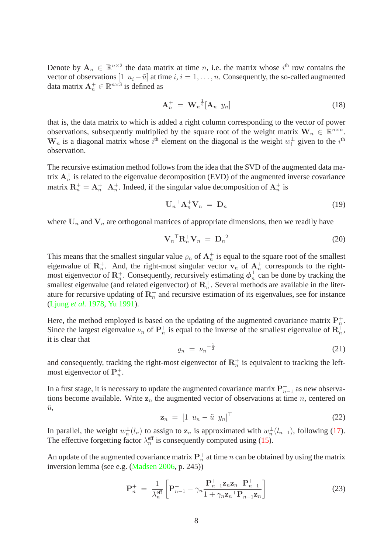Denote by  $A_n \in \mathbb{R}^{n \times 2}$  the data matrix at time *n*, i.e. the matrix whose *i*<sup>th</sup> row contains the vector of observations  $[1 \ u_i - \tilde{u}]$  at time  $i, i = 1, \ldots, n$ . Consequently, the so-called augmented data matrix  $A_n^+ \in \mathbb{R}^{n \times 3}$  is defined as

$$
\mathbf{A}_n^+ = \mathbf{W}_n^{\ \frac{1}{2}} [\mathbf{A}_n \ \ y_n] \tag{18}
$$

that is, the data matrix to which is added a right column corresponding to the vector of power observations, subsequently multiplied by the square root of the weight matrix  $\mathbf{W}_n \in \mathbb{R}^{n \times n}$ .  $W_n$  is a diagonal matrix whose  $i^{\text{th}}$  element on the diagonal is the weight  $w_i^{\perp}$  $i<sup>L</sup>$  given to the  $i<sup>th</sup>$ observation.

The recursive estimation method follows from the idea that the SVD of the augmented data matrix  $A_n^+$  is related to the eigenvalue decomposition (EVD) of the augmented inverse covariance matrix  $\mathbf{R}_n^+ = \mathbf{A}_n^{+T} \mathbf{A}_n^+$ . Indeed, if the singular value decomposition of  $\mathbf{A}_n^+$  is

$$
\mathbf{U}_n^\top \mathbf{A}_n^+ \mathbf{V}_n = \mathbf{D}_n \tag{19}
$$

where  $U_n$  and  $V_n$  are orthogonal matrices of appropriate dimensions, then we readily have

$$
\mathbf{V}_n^\top \mathbf{R}_n^+ \mathbf{V}_n = \mathbf{D}_n^2 \tag{20}
$$

This means that the smallest singular value  $\varrho_n$  of  $A_n^+$  is equal to the square root of the smallest eigenvalue of  $\mathbb{R}_n^+$ . And, the right-most singular vector  $\mathbf{v}_n$  of  $\mathbb{A}_n^+$  corresponds to the rightmost eigenvector of  $\mathbf{R}_n^+$ . Consequently, recursively estimating  $\phi_n^{\perp}$  $\frac{1}{n}$  can be done by tracking the smallest eigenvalue (and related eigenvector) of  $\mathbb{R}_n^+$ . Several methods are available in the literature for recursive updating of  $\mathbf{R}_n^+$  and recursive estimation of its eigenvalues, see for instance [\(Ljung](#page-19-9) *et al.* [1978,](#page-19-9) [Yu 1991\)](#page-19-10).

Here, the method employed is based on the updating of the augmented covariance matrix  $P_n^+$ . Since the largest eigenvalue  $\nu_n$  of  $\mathbf{P}_n^+$  is equal to the inverse of the smallest eigenvalue of  $\mathbf{R}_n^+$ , it is clear that

$$
\varrho_n = \nu_n^{-\frac{1}{2}} \tag{21}
$$

and consequently, tracking the right-most eigenvector of  $\mathbb{R}_n^+$  is equivalent to tracking the leftmost eigenvector of  $\mathbf{P}_n^+$ .

In a first stage, it is necessary to update the augmented covariance matrix  $\mathbf{P}_{n-1}^+$  as new observations become available. Write  $z_n$  the augmented vector of observations at time n, centered on  $\tilde{u}$ ,

$$
\mathbf{z}_n = \begin{bmatrix} 1 & u_n - \tilde{u} & y_n \end{bmatrix}^\top \tag{22}
$$

In parallel, the weight  $w_n^{\perp}$  $\frac{1}{n}(l_n)$  to assign to  $\mathbf{z}_n$  is approximated with  $w_n^{\perp}$  $\frac{1}{n}(l_{n-1})$ , following [\(17\)](#page-6-1). The effective forgetting factor  $\lambda_n^{\text{eff}}$  is consequently computed using [\(15\)](#page-6-2).

<span id="page-7-0"></span>An update of the augmented covariance matrix  $\mathbf{P}_n^+$  at time n can be obtained by using the matrix inversion lemma (see e.g. [\(Madsen 2006,](#page-19-11) p. 245))

$$
\mathbf{P}_n^+ = \frac{1}{\lambda_n^{\text{eff}}} \left[ \mathbf{P}_{n-1}^+ - \gamma_n \frac{\mathbf{P}_{n-1}^+ \mathbf{Z}_n \mathbf{Z}_n^\top \mathbf{P}_{n-1}^+}{1 + \gamma_n \mathbf{Z}_n^\top \mathbf{P}_{n-1}^+ \mathbf{Z}_n} \right] \tag{23}
$$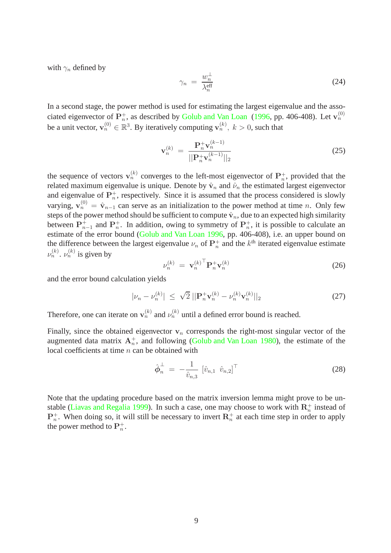with  $\gamma_n$  defined by

<span id="page-8-0"></span>
$$
\gamma_n = \frac{w_n^{\perp}}{\lambda_n^{\text{eff}}} \tag{24}
$$

In a second stage, the power method is used for estimating the largest eigenvalue and the associated eigenvector of  $\mathbf{P}_n^+$ , as described by [Golub and Van Loan](#page-18-12) [\(1996,](#page-18-12) pp. 406-408). Let  $\mathbf{v}_n^{(0)}$ be a unit vector,  $\mathbf{v}_n^{(0)} \in \mathbb{R}^3$ . By iteratively computing  $\mathbf{v}_n^{(k)}$ ,  $k > 0$ , such that

$$
\mathbf{v}_n^{(k)} = \frac{\mathbf{P}_n^+ \mathbf{v}_n^{(k-1)}}{||\mathbf{P}_n^+ \mathbf{v}_n^{(k-1)}||_2}
$$
(25)

the sequence of vectors  $\mathbf{v}_n^{(k)}$  converges to the left-most eigenvector of  $\mathbf{P}_n^+$ , provided that the related maximum eigenvalue is unique. Denote by  $\hat{\mathbf{v}}_n$  and  $\hat{\nu}_n$  the estimated largest eigenvector and eigenvalue of  $\mathbf{P}_n^+$ , respectively. Since it is assumed that the process considered is slowly varying,  $v_n^{(0)} = \hat{v}_{n-1}$  can serve as an initialization to the power method at time n. Only few steps of the power method should be sufficient to compute  $\hat{v}_n$ , due to an expected high similarity between  $\mathbf{P}_{n-1}^+$  and  $\mathbf{P}_n^+$ . In addition, owing to symmetry of  $\mathbf{P}_n^+$ , it is possible to calculate an estimate of the error bound [\(Golub and Van Loan 1996](#page-18-12), pp. 406-408), i.e. an upper bound on the difference between the largest eigenvalue  $\nu_n$  of  $\mathbf{P}_n^+$  and the  $k^{\text{th}}$  iterated eigenvalue estimate  $\nu_n^{(k)}$ .  $\nu_n^{(k)}$  is given by

$$
\nu_n^{(k)} = \mathbf{v}_n^{(k)}^\top \mathbf{P}_n^+ \mathbf{v}_n^{(k)} \tag{26}
$$

and the error bound calculation yields

$$
|\nu_n - \nu_n^{(k)}| \leq \sqrt{2} \, ||\mathbf{P}_n^+ \mathbf{v}_n^{(k)} - \nu_n^{(k)} \mathbf{v}_n^{(k)}||_2 \tag{27}
$$

Therefore, one can iterate on  $\mathbf{v}_n^{(k)}$  and  $\nu_n^{(k)}$  until a defined error bound is reached.

Finally, since the obtained eigenvector  $v_n$  corresponds the right-most singular vector of the augmented data matrix  $A_n^+$ , and following [\(Golub and Van Loan 1980](#page-18-3)), the estimate of the local coefficients at time  $n$  can be obtained with

<span id="page-8-1"></span>
$$
\hat{\phi}_n^{\perp} = -\frac{1}{\hat{v}_{n,3}} [\hat{v}_{n,1} \ \hat{v}_{n,2}]^{\top}
$$
\n(28)

Note that the updating procedure based on the matrix inversion lemma might prove to be un-stable [\(Liavas and Regalia 1999\)](#page-19-12). In such a case, one may choose to work with  $\mathbb{R}_n^+$  instead of  $\mathbf{P}_n^+$ . When doing so, it will still be necessary to invert  $\mathbf{R}_n^+$  at each time step in order to apply the power method to  $\mathbf{P}_n^+$ .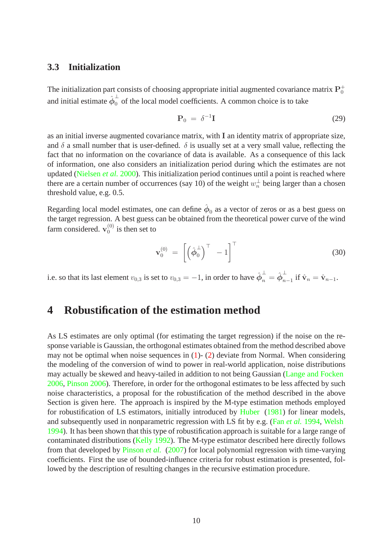#### **3.3 Initialization**

The initialization part consists of choosing appropriate initial augmented covariance matrix  ${\rm P}^+_0$ and initial estimate  $\hat{\phi}_0^{\perp}$  of the local model coefficients. A common choice is to take

$$
\mathbf{P}_0 = \delta^{-1} \mathbf{I} \tag{29}
$$

as an initial inverse augmented covariance matrix, with I an identity matrix of appropriate size, and  $\delta$  a small number that is user-defined.  $\delta$  is usually set at a very small value, reflecting the fact that no information on the covariance of data is available. As a consequence of this lack of information, one also considers an initialization period during which the estimates are not updated [\(Nielsen](#page-19-8) *et al.* [2000\)](#page-19-8). This initialization period continues until a point is reached where there are a certain number of occurrences (say 10) of the weight  $w_n^{\perp}$  being larger than a chosen threshold value, e.g. 0.5.

Regarding local model estimates, one can define  $\hat{\phi}_0$  as a vector of zeros or as a best guess on the target regression. A best guess can be obtained from the theoretical power curve of the wind farm considered.  $v_0^{(0)}$  $_0^{(0)}$  is then set to

$$
\mathbf{v}_0^{(0)} = \left[ \left( \hat{\boldsymbol{\phi}}_0^{\perp} \right)^{\top} - 1 \right]^{\top} \tag{30}
$$

i.e. so that its last element  $v_{0,3}$  is set to  $v_{0,3} = -1$ , in order to have  $\hat{\phi}_n^{\perp} = \hat{\phi}_n^{\perp}$  $\sum_{n=1}^{\infty}$  if  $\hat{\mathbf{v}}_n = \hat{\mathbf{v}}_{n-1}$ .

## <span id="page-9-0"></span>**4 Robustification of the estimation method**

As LS estimates are only optimal (for estimating the target regression) if the noise on the response variable is Gaussian, the orthogonal estimates obtained from the method described above may not be optimal when noise sequences in  $(1)$ - $(2)$  deviate from Normal. When considering the modeling of the conversion of wind to power in real-world application, noise distributions may actually be skewed and heavy-tailed in addition to not being Gaussian [\(Lange and Focken](#page-19-13) [2006,](#page-19-13) [Pinson 2006](#page-19-14)). Therefore, in order for the orthogonal estimates to be less affected by such noise characteristics, a proposal for the robustification of the method described in the above Section is given here. The approach is inspired by the M-type estimation methods employed for robustification of LS estimators, initially introduced by [Huber](#page-18-13) [\(1981](#page-18-13)) for linear models, and subsequently used in nonparametric regression with LS fit by e.g. (Fan *[et al.](#page-18-14)* [1994,](#page-18-14) [Welsh](#page-19-15) [1994\)](#page-19-15). It has been shown that this type of robustification approach is suitable for a large range of contaminated distributions [\(Kelly 1992\)](#page-18-15). The M-type estimator described here directly follows from that developed by [Pinson](#page-19-3) *et al.* [\(2007\)](#page-19-3) for local polynomial regression with time-varying coefficients. First the use of bounded-influence criteria for robust estimation is presented, followed by the description of resulting changes in the recursive estimation procedure.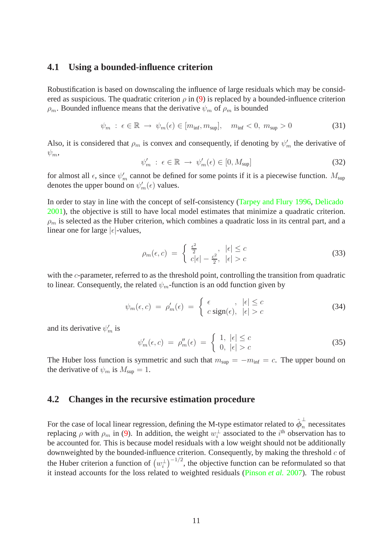#### **4.1 Using a bounded-influence criterion**

Robustification is based on downscaling the influence of large residuals which may be considered as suspicious. The quadratic criterion  $\rho$  in [\(9\)](#page-4-1) is replaced by a bounded-influence criterion  $\rho_m$ . Bounded influence means that the derivative  $\psi_m$  of  $\rho_m$  is bounded

$$
\psi_m : \epsilon \in \mathbb{R} \to \psi_m(\epsilon) \in [m_{\inf}, m_{\sup}], \quad m_{\inf} < 0, \ m_{\sup} > 0 \tag{31}
$$

Also, it is considered that  $\rho_m$  is convex and consequently, if denoting by  $\psi'_m$  the derivative of  $\psi_m$ 

$$
\psi'_m \; : \; \epsilon \in \mathbb{R} \; \to \; \psi'_m(\epsilon) \in [0, M_{\text{sup}}] \tag{32}
$$

for almost all  $\epsilon$ , since  $\psi'_m$  cannot be defined for some points if it is a piecewise function.  $M_{\text{sup}}$ denotes the upper bound on  $\psi'_m(\epsilon)$  values.

In order to stay in line with the concept of self-consistency [\(Tarpey and Flury 1996](#page-19-7), [Delicado](#page-18-8) [2001\)](#page-18-8), the objective is still to have local model estimates that minimize a quadratic criterion.  $\rho_m$  is selected as the Huber criterion, which combines a quadratic loss in its central part, and a linear one for large  $|\epsilon|$ -values,

$$
\rho_m(\epsilon, c) = \begin{cases} \frac{\epsilon^2}{2} & |\epsilon| \le c \\ c|\epsilon| - \frac{c^2}{2}, & |\epsilon| > c \end{cases}
$$
\n(33)

with the c-parameter, referred to as the threshold point, controlling the transition from quadratic to linear. Consequently, the related  $\psi_m$ -function is an odd function given by

$$
\psi_m(\epsilon, c) = \rho'_m(\epsilon) = \begin{cases} \epsilon & |\epsilon| \le c \\ c \operatorname{sign}(\epsilon), & |\epsilon| > c \end{cases} \tag{34}
$$

and its derivative  $\psi'_m$  is

$$
\psi'_m(\epsilon, c) = \rho''_m(\epsilon) = \begin{cases} 1, \ |\epsilon| \le c \\ 0, \ |\epsilon| > c \end{cases}
$$
 (35)

The Huber loss function is symmetric and such that  $m_{\text{sup}} = -m_{\text{inf}} = c$ . The upper bound on the derivative of  $\psi_m$  is  $M_{\text{sup}} = 1$ .

#### **4.2 Changes in the recursive estimation procedure**

For the case of local linear regression, defining the M-type estimator related to  $\hat{\phi}_n^{\perp}$  $\overline{n}$  necessitates replacing  $\rho$  with  $\rho_m$  in [\(9\)](#page-4-1). In addition, the weight  $w_i^{\perp}$  $i$ <sup> $\pm$ </sup> associated to the  $i$ <sup>th</sup> observation has to be accounted for. This is because model residuals with a low weight should not be additionally downweighted by the bounded-influence criterion. Consequently, by making the threshold  $c$  of the Huber criterion a function of  $(w_i^{\perp})$  $\int_{i}^{\pm}$ )<sup>-1/2</sup>, the objective function can be reformulated so that it instead accounts for the loss related to weighted residuals [\(Pinson](#page-19-3) *et al.* [2007\)](#page-19-3). The robust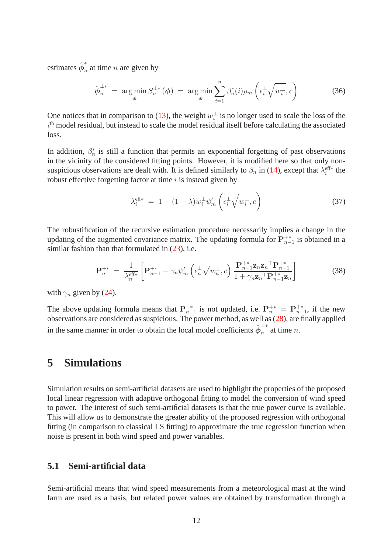estimates  $\hat{\phi}_n^*$  $\sum_{n=1}^{\infty}$  at time *n* are given by

$$
\hat{\boldsymbol{\phi}}_n^{\perp *} = \operatorname*{arg\,min}_{\boldsymbol{\phi}} S_n^{\perp *}(\boldsymbol{\phi}) = \operatorname*{arg\,min}_{\boldsymbol{\phi}} \sum_{i=1}^n \beta_n^*(i) \rho_m\left(\epsilon_i^{\perp} \sqrt{w_i^{\perp}}, c\right) \tag{36}
$$

One notices that in comparison to [\(13\)](#page-6-0), the weight  $w_i^{\perp}$  $i<sub>i</sub>$  is no longer used to scale the loss of the  $i<sup>th</sup>$  model residual, but instead to scale the model residual itself before calculating the associated loss.

In addition,  $\beta_n^*$  $n_{n}^{*}$  is still a function that permits an exponential forgetting of past observations in the vicinity of the considered fitting points. However, it is modified here so that only nonsuspicious observations are dealt with. It is defined similarly to  $\beta_n$  in [\(14\)](#page-6-3), except that  $\lambda_i^{\text{eff}*}$  the robust effective forgetting factor at time  $i$  is instead given by

$$
\lambda_i^{\text{eff}*} = 1 - (1 - \lambda) w_i^{\perp} \psi_m' \left( \epsilon_i^{\perp} \sqrt{w_i^{\perp}}, c \right)
$$
 (37)

The robustification of the recursive estimation procedure necessarily implies a change in the updating of the augmented covariance matrix. The updating formula for  $\mathbf{P}_{n-1}^{+*}$  is obtained in a similar fashion than that formulated in  $(23)$ , i.e.

$$
\mathbf{P}_{n}^{+*} = \frac{1}{\lambda_{n}^{\text{eff}*}} \left[ \mathbf{P}_{n-1}^{+*} - \gamma_{n} \psi_{m}' \left( \epsilon_{n}^{\perp} \sqrt{w_{n}^{\perp}}, c \right) \frac{\mathbf{P}_{n-1}^{+*} \mathbf{z}_{n} \mathbf{z}_{n}^{\top} \mathbf{P}_{n-1}^{+*}}{1 + \gamma_{n} \mathbf{z}_{n}^{\top} \mathbf{P}_{n-1}^{+*} \mathbf{z}_{n}} \right]
$$
(38)

with  $\gamma_n$  given by [\(24\)](#page-8-0).

The above updating formula means that  $P_{n-1}^{+*}$  is not updated, i.e.  $P_n^{+*} = P_{n-1}^{+*}$ , if the new observations are considered as suspicious. The power method, as well as [\(28\)](#page-8-1), are finally applied in the same manner in order to obtain the local model coefficients  $\hat{\phi}_n^{\perp*}$  $\overline{n}$  at time *n*.

## <span id="page-11-0"></span>**5 Simulations**

Simulation results on semi-artificial datasets are used to highlight the properties of the proposed local linear regression with adaptive orthogonal fitting to model the conversion of wind speed to power. The interest of such semi-artificial datasets is that the true power curve is available. This will allow us to demonstrate the greater ability of the proposed regression with orthogonal fitting (in comparison to classical LS fitting) to approximate the true regression function when noise is present in both wind speed and power variables.

#### **5.1 Semi-artificial data**

Semi-artificial means that wind speed measurements from a meteorological mast at the wind farm are used as a basis, but related power values are obtained by transformation through a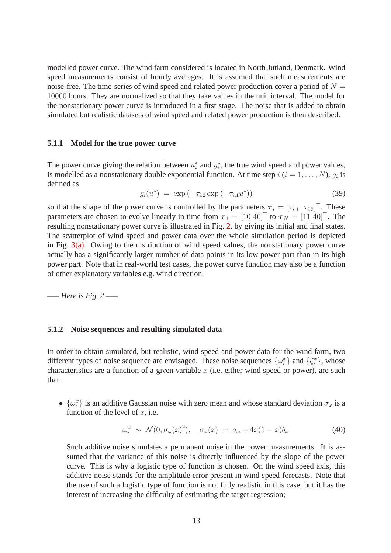modelled power curve. The wind farm considered is located in North Jutland, Denmark. Wind speed measurements consist of hourly averages. It is assumed that such measurements are noise-free. The time-series of wind speed and related power production cover a period of  $N =$ 10000 hours. They are normalized so that they take values in the unit interval. The model for the nonstationary power curve is introduced in a first stage. The noise that is added to obtain simulated but realistic datasets of wind speed and related power production is then described.

#### **5.1.1 Model for the true power curve**

The power curve giving the relation between  $u_i^*$  $i^*$  and  $y_i^*$  $i$ , the true wind speed and power values, is modelled as a nonstationary double exponential function. At time step  $i$   $(i = 1, \ldots, N)$ ,  $g_i$  is defined as

$$
g_i(u^*) = \exp(-\tau_{i,2} \exp(-\tau_{i,1} u^*)) \tag{39}
$$

so that the shape of the power curve is controlled by the parameters  $\tau_i = [\tau_{i,1} \ \tau_{i,2}]^\top$ . These parameters are chosen to evolve linearly in time from  $\tau_1 = [10 \ 40]^\top$  to  $\tau_N = [11 \ 40]^\top$ . The resulting nonstationary power curve is illustrated in Fig. [2,](#page-21-0) by giving its initial and final states. The scatterplot of wind speed and power data over the whole simulation period is depicted in Fig.  $3(a)$ . Owing to the distribution of wind speed values, the nonstationary power curve actually has a significantly larger number of data points in its low power part than in its high power part. Note that in real-world test cases, the power curve function may also be a function of other explanatory variables e.g. wind direction.

—– *Here is Fig. 2* —–

#### **5.1.2 Noise sequences and resulting simulated data**

In order to obtain simulated, but realistic, wind speed and power data for the wind farm, two different types of noise sequence are envisaged. These noise sequences  $\{\omega_i^x\}$  and  $\{\zeta_i^x\}$ , whose characteristics are a function of a given variable  $x$  (i.e. either wind speed or power), are such that:

•  $\{\omega_i^x\}$  is an additive Gaussian noise with zero mean and whose standard deviation  $\sigma_\omega$  is a function of the level of  $x$ , i.e.

$$
\omega_i^x \sim \mathcal{N}(0, \sigma_\omega(x)^2), \quad \sigma_\omega(x) = a_\omega + 4x(1-x)b_\omega \tag{40}
$$

Such additive noise simulates a permanent noise in the power measurements. It is assumed that the variance of this noise is directly influenced by the slope of the power curve. This is why a logistic type of function is chosen. On the wind speed axis, this additive noise stands for the amplitude error present in wind speed forecasts. Note that the use of such a logistic type of function is not fully realistic in this case, but it has the interest of increasing the difficulty of estimating the target regression;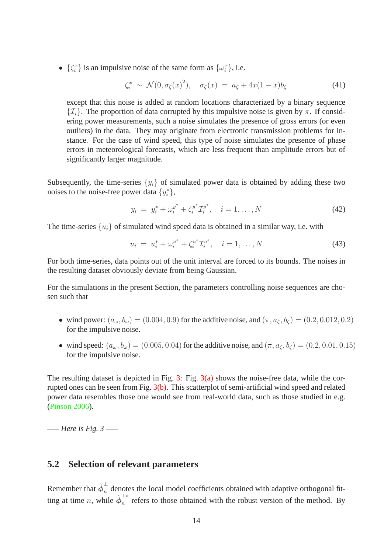•  $\{\zeta_i^x\}$  is an impulsive noise of the same form as  $\{\omega_i^x\}$ , i.e.

$$
\zeta_i^x \sim \mathcal{N}(0, \sigma_{\zeta}(x)^2), \quad \sigma_{\zeta}(x) = a_{\zeta} + 4x(1-x)b_{\zeta}
$$
 (41)

except that this noise is added at random locations characterized by a binary sequence  $\{\mathcal{I}_i\}$ . The proportion of data corrupted by this impulsive noise is given by  $\pi$ . If considering power measurements, such a noise simulates the presence of gross errors (or even outliers) in the data. They may originate from electronic transmission problems for instance. For the case of wind speed, this type of noise simulates the presence of phase errors in meteorological forecasts, which are less frequent than amplitude errors but of significantly larger magnitude.

Subsequently, the time-series  $\{y_i\}$  of simulated power data is obtained by adding these two noises to the noise-free power data  $\{y_i^*\}$  $i^*\},$ 

$$
y_i = y_i^* + \omega_i^{y^*} + \zeta_i^{y^*} \mathcal{I}_i^{y^*}, \quad i = 1, ..., N
$$
 (42)

The time-series  $\{u_i\}$  of simulated wind speed data is obtained in a similar way, i.e. with

$$
u_i = u_i^* + \omega_i^{u^*} + \zeta_i^{u^*} \mathcal{I}_i^{u^*}, \quad i = 1, ..., N
$$
\n(43)

For both time-series, data points out of the unit interval are forced to its bounds. The noises in the resulting dataset obviously deviate from being Gaussian.

For the simulations in the present Section, the parameters controlling noise sequences are chosen such that

- wind power:  $(a_{\omega}, b_{\omega}) = (0.004, 0.9)$  for the additive noise, and  $(\pi, a_{\zeta}, b_{\zeta}) = (0.2, 0.012, 0.2)$ for the impulsive noise.
- wind speed:  $(a_{\omega}, b_{\omega}) = (0.005, 0.04)$  for the additive noise, and  $(\pi, a_{\zeta}, b_{\zeta}) = (0.2, 0.01, 0.15)$ for the impulsive noise.

The resulting dataset is depicted in Fig. [3:](#page-22-1) Fig.  $3(a)$  shows the noise-free data, while the corrupted ones can be seen from Fig. [3\(b\).](#page-22-2) This scatterplot of semi-artificial wind speed and related power data resembles those one would see from real-world data, such as those studied in e.g. [\(Pinson 2006\)](#page-19-14).

—– *Here is Fig. 3* —–

#### **5.2 Selection of relevant parameters**

Remember that  $\hat{\phi}_n^{\perp}$  denotes the local model coefficients obtained with adaptive orthogonal fitting at time *n*, while  $\hat{\phi}_n^{\perp*}$  $\frac{1}{n}$  refers to those obtained with the robust version of the method. By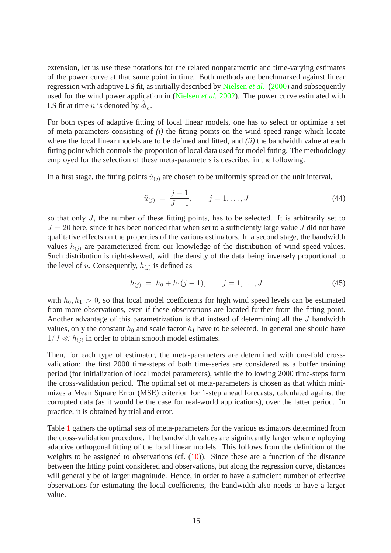extension, let us use these notations for the related nonparametric and time-varying estimates of the power curve at that same point in time. Both methods are benchmarked against linear regression with adaptive LS fit, as initially described by [Nielsen](#page-19-8) *et al.* [\(2000](#page-19-8)) and subsequently used for the wind power application in [\(Nielsen](#page-19-1) *et al.* [2002\)](#page-19-1). The power curve estimated with LS fit at time *n* is denoted by  $\hat{\phi}_n$ .

For both types of adaptive fitting of local linear models, one has to select or optimize a set of meta-parameters consisting of *(i)* the fitting points on the wind speed range which locate where the local linear models are to be defined and fitted, and *(ii)* the bandwidth value at each fitting point which controls the proportion of local data used for model fitting. The methodology employed for the selection of these meta-parameters is described in the following.

In a first stage, the fitting points  $\tilde{u}_{(i)}$  are chosen to be uniformly spread on the unit interval,

$$
\tilde{u}_{(j)} = \frac{j-1}{J-1}, \qquad j = 1, \dots, J \tag{44}
$$

so that only J, the number of these fitting points, has to be selected. It is arbitrarily set to  $J = 20$  here, since it has been noticed that when set to a sufficiently large value J did not have qualitative effects on the properties of the various estimators. In a second stage, the bandwidth values  $h_{(i)}$  are parameterized from our knowledge of the distribution of wind speed values. Such distribution is right-skewed, with the density of the data being inversely proportional to the level of u. Consequently,  $h_{(j)}$  is defined as

$$
h_{(j)} = h_0 + h_1(j-1), \qquad j = 1, \dots, J \tag{45}
$$

with  $h_0, h_1 > 0$ , so that local model coefficients for high wind speed levels can be estimated from more observations, even if these observations are located further from the fitting point. Another advantage of this parametrization is that instead of determining all the J bandwidth values, only the constant  $h_0$  and scale factor  $h_1$  have to be selected. In general one should have  $1/J \ll h_{(j)}$  in order to obtain smooth model estimates.

Then, for each type of estimator, the meta-parameters are determined with one-fold crossvalidation: the first 2000 time-steps of both time-series are considered as a buffer training period (for initialization of local model parameters), while the following 2000 time-steps form the cross-validation period. The optimal set of meta-parameters is chosen as that which minimizes a Mean Square Error (MSE) criterion for 1-step ahead forecasts, calculated against the corrupted data (as it would be the case for real-world applications), over the latter period. In practice, it is obtained by trial and error.

Table [1](#page-25-0) gathers the optimal sets of meta-parameters for the various estimators determined from the cross-validation procedure. The bandwidth values are significantly larger when employing adaptive orthogonal fitting of the local linear models. This follows from the definition of the weights to be assigned to observations (cf.  $(10)$ ). Since these are a function of the distance between the fitting point considered and observations, but along the regression curve, distances will generally be of larger magnitude. Hence, in order to have a sufficient number of effective observations for estimating the local coefficients, the bandwidth also needs to have a larger value.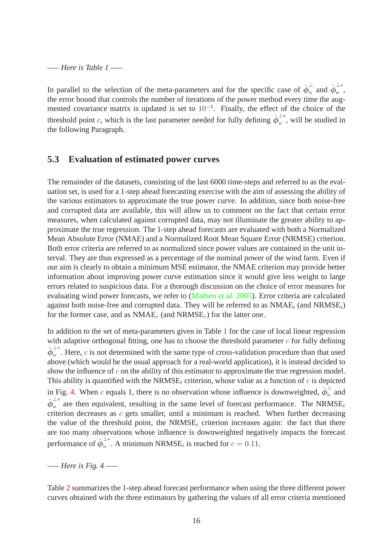—– *Here is Table 1* —–

In parallel to the selection of the meta-parameters and for the specific case of  $\hat{\phi}_n^{\perp}$  $\frac{1}{n}$  and  $\hat{\phi}_{n}^{\perp*}$  $\frac{1}{n}$ , the error bound that controls the number of iterations of the power method every time the augmented covariance matrix is updated is set to  $10^{-5}$ . Finally, the effect of the choice of the threshold point c, which is the last parameter needed for fully defining  $\hat{\phi}_n^{\perp*}$  $\frac{1}{n}$ , will be studied in the following Paragraph.

#### **5.3 Evaluation of estimated power curves**

The remainder of the datasets, consisting of the last 6000 time-steps and referred to as the evaluation set, is used for a 1-step ahead forecasting exercise with the aim of assessing the ability of the various estimators to approximate the true power curve. In addition, since both noise-free and corrupted data are available, this will allow us to comment on the fact that certain error measures, when calculated against corrupted data, may not illuminate the greater ability to approximate the true regression. The 1-step ahead forecasts are evaluated with both a Normalized Mean Absolute Error (NMAE) and a Normalized Root Mean Square Error (NRMSE) criterion. Both error criteria are referred to as normalized since power values are contained in the unit interval. They are thus expressed as a percentage of the nominal power of the wind farm. Even if our aim is clearly to obtain a minimum MSE estimator, the NMAE criterion may provide better information about improving power curve estimation since it would give less weight to large errors related to suspicious data. For a thorough discussion on the choice of error measures for evaluating wind power forecasts, we refer to [\(Madsen](#page-19-16) *et al.* [2005](#page-19-16)). Error criteria are calculated against both noise-free and corrupted data. They will be referred to as  $NMAE_t$  (and  $NRMSE_t$ ) for the former case, and as  $NMAE_r$  (and  $NRMSE_r$ ) for the latter one.

In addition to the set of meta-parameters given in Table [1](#page-25-0) for the case of local linear regression with adaptive orthogonal fitting, one has to choose the threshold parameter  $c$  for fully defining  $\hat{\bm{\phi}}_n^{\pm *}$  $\overline{n}$ . Here, c is not determined with the same type of cross-validation procedure than that used above (which would be the usual approach for a real-world application), it is instead decided to show the influence of  $c$  on the ability of this estimator to approximate the true regression model. This ability is quantified with the NRMS $E_t$  criterion, whose value as a function of  $c$  is depicted in Fig. [4.](#page-23-0) When c equals 1, there is no observation whose influence is downweighted,  $\phi_n^{\perp}$  $\frac{1}{n}$  and  $\hat{\bm{\phi}}_n^{\pm *}$  $n \atop n$  are then equivalent, resulting in the same level of forecast performance. The NRMSE<sub>t</sub> criterion decreases as  $c$  gets smaller, until a minimum is reached. When further decreasing the value of the threshold point, the NRMSE<sub>t</sub> criterion increases again: the fact that there are too many observations whose influence is downweighted negatively impacts the forecast performance of  $\hat{\phi}_n^{\perp*}$  $n^{\text{th}}$ . A minimum NRMSE<sub>t</sub> is reached for  $c = 0.11$ .

—– *Here is Fig. 4* —–

Table [2](#page-26-0) summarizes the 1-step ahead forecast performance when using the three different power curves obtained with the three estimators by gathering the values of all error criteria mentioned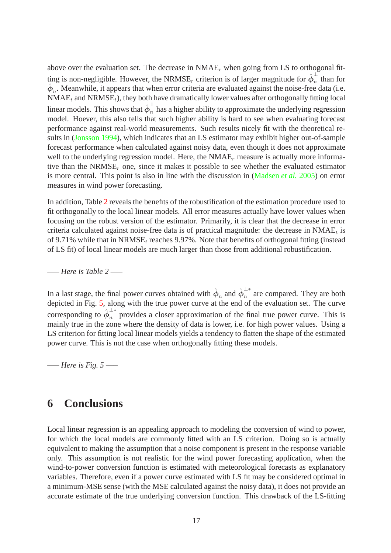above over the evaluation set. The decrease in  $NMAE_r$  when going from LS to orthogonal fitting is non-negligible. However, the NRMSE<sub>r</sub> criterion is of larger magnitude for  $\hat{\phi}_n^{\perp}$  $\overline{n}$  than for  $\hat{\phi}_n$ . Meanwhile, it appears that when error criteria are evaluated against the noise-free data (i.e.  $NMAE_t$  and  $NRMSE_t$ ), they both have dramatically lower values after orthogonally fitting local linear models. This shows that  $\hat{\phi}_n^{\perp}$  has a higher ability to approximate the underlying regression model. Hoever, this also tells that such higher ability is hard to see when evaluating forecast performance against real-world measurements. Such results nicely fit with the theoretical results in [\(Jonsson 1994](#page-18-1)), which indicates that an LS estimator may exhibit higher out-of-sample forecast performance when calculated against noisy data, even though it does not approximate well to the underlying regression model. Here, the  $NMAE_r$  measure is actually more informative than the  $NRMSE<sub>r</sub>$  one, since it makes it possible to see whether the evaluated estimator is more central. This point is also in line with the discussion in [\(Madsen](#page-19-16) *et al.* [2005](#page-19-16)) on error measures in wind power forecasting.

In addition, Table [2](#page-26-0) reveals the benefits of the robustification of the estimation procedure used to fit orthogonally to the local linear models. All error measures actually have lower values when focusing on the robust version of the estimator. Primarily, it is clear that the decrease in error criteria calculated against noise-free data is of practical magnitude: the decrease in  $\text{NMAE}_{t}$  is of 9.71% while that in  $NRMSE_t$  reaches 9.97%. Note that benefits of orthogonal fitting (instead of LS fit) of local linear models are much larger than those from additional robustification.

—– *Here is Table 2* —–

In a last stage, the final power curves obtained with  $\hat{\bm{\phi}}_n$  and  $\hat{\bm{\phi}}_n^{\perp*}$  $\overline{n}$  are compared. They are both depicted in Fig. [5,](#page-24-0) along with the true power curve at the end of the evaluation set. The curve corresponding to  $\phi_n^{\perp*}$  $\overline{n}$  provides a closer approximation of the final true power curve. This is mainly true in the zone where the density of data is lower, i.e. for high power values. Using a LS criterion for fitting local linear models yields a tendency to flatten the shape of the estimated power curve. This is not the case when orthogonally fitting these models.

—– *Here is Fig. 5* —–

## <span id="page-16-0"></span>**6 Conclusions**

Local linear regression is an appealing approach to modeling the conversion of wind to power, for which the local models are commonly fitted with an LS criterion. Doing so is actually equivalent to making the assumption that a noise component is present in the response variable only. This assumption is not realistic for the wind power forecasting application, when the wind-to-power conversion function is estimated with meteorological forecasts as explanatory variables. Therefore, even if a power curve estimated with LS fit may be considered optimal in a minimum-MSE sense (with the MSE calculated against the noisy data), it does not provide an accurate estimate of the true underlying conversion function. This drawback of the LS-fitting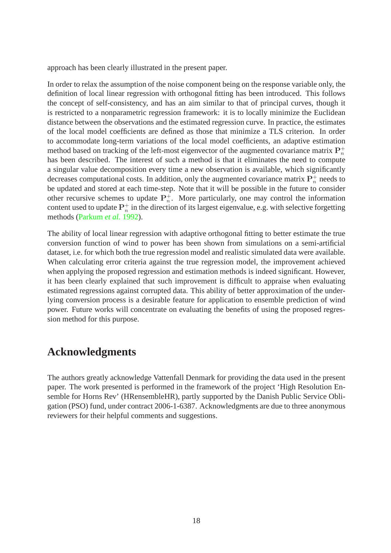approach has been clearly illustrated in the present paper.

In order to relax the assumption of the noise component being on the response variable only, the definition of local linear regression with orthogonal fitting has been introduced. This follows the concept of self-consistency, and has an aim similar to that of principal curves, though it is restricted to a nonparametric regression framework: it is to locally minimize the Euclidean distance between the observations and the estimated regression curve. In practice, the estimates of the local model coefficients are defined as those that minimize a TLS criterion. In order to accommodate long-term variations of the local model coefficients, an adaptive estimation method based on tracking of the left-most eigenvector of the augmented covariance matrix  $\mathbf{P}_n^+$ has been described. The interest of such a method is that it eliminates the need to compute a singular value decomposition every time a new observation is available, which significantly decreases computational costs. In addition, only the augmented covariance matrix  $\mathbf{P}_n^+$  needs to be updated and stored at each time-step. Note that it will be possible in the future to consider other recursive schemes to update  $P_n^+$ . More particularly, one may control the information content used to update  $\mathbf{P}_n^+$  in the direction of its largest eigenvalue, e.g. with selective forgetting methods [\(Parkum](#page-19-17) *et al.* [1992\)](#page-19-17).

The ability of local linear regression with adaptive orthogonal fitting to better estimate the true conversion function of wind to power has been shown from simulations on a semi-artificial dataset, i.e. for which both the true regression model and realistic simulated data were available. When calculating error criteria against the true regression model, the improvement achieved when applying the proposed regression and estimation methods is indeed significant. However, it has been clearly explained that such improvement is difficult to appraise when evaluating estimated regressions against corrupted data. This ability of better approximation of the underlying conversion process is a desirable feature for application to ensemble prediction of wind power. Future works will concentrate on evaluating the benefits of using the proposed regression method for this purpose.

## **Acknowledgments**

The authors greatly acknowledge Vattenfall Denmark for providing the data used in the present paper. The work presented is performed in the framework of the project 'High Resolution Ensemble for Horns Rev' (HRensembleHR), partly supported by the Danish Public Service Obligation (PSO) fund, under contract 2006-1-6387. Acknowledgments are due to three anonymous reviewers for their helpful comments and suggestions.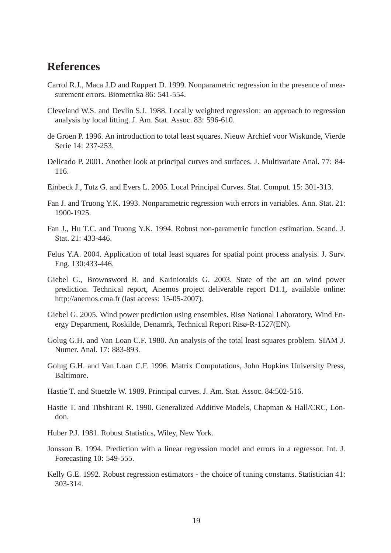### **References**

- <span id="page-18-7"></span>Carrol R.J., Maca J.D and Ruppert D. 1999. Nonparametric regression in the presence of measurement errors. Biometrika 86: 541-554.
- <span id="page-18-9"></span>Cleveland W.S. and Devlin S.J. 1988. Locally weighted regression: an approach to regression analysis by local fitting. J. Am. Stat. Assoc. 83: 596-610.
- <span id="page-18-10"></span>de Groen P. 1996. An introduction to total least squares. Nieuw Archief voor Wiskunde, Vierde Serie 14: 237-253.
- <span id="page-18-8"></span>Delicado P. 2001. Another look at principal curves and surfaces. J. Multivariate Anal. 77: 84- 116.
- <span id="page-18-5"></span>Einbeck J., Tutz G. and Evers L. 2005. Local Principal Curves. Stat. Comput. 15: 301-313.
- <span id="page-18-6"></span>Fan J. and Truong Y.K. 1993. Nonparametric regression with errors in variables. Ann. Stat. 21: 1900-1925.
- <span id="page-18-14"></span>Fan J., Hu T.C. and Truong Y.K. 1994. Robust non-parametric function estimation. Scand. J. Stat. 21: 433-446.
- <span id="page-18-11"></span>Felus Y.A. 2004. Application of total least squares for spatial point process analysis. J. Surv. Eng. 130:433-446.
- <span id="page-18-0"></span>Giebel G., Brownsword R. and Kariniotakis G. 2003. State of the art on wind power prediction. Technical report, Anemos project deliverable report D1.1, available online: http://anemos.cma.fr (last access: 15-05-2007).
- <span id="page-18-2"></span>Giebel G. 2005. Wind power prediction using ensembles. Risø National Laboratory, Wind Energy Department, Roskilde, Denamrk, Technical Report Risø-R-1527(EN).
- <span id="page-18-3"></span>Golug G.H. and Van Loan C.F. 1980. An analysis of the total least squares problem. SIAM J. Numer. Anal. 17: 883-893.
- <span id="page-18-12"></span>Golug G.H. and Van Loan C.F. 1996. Matrix Computations, John Hopkins University Press, Baltimore.
- <span id="page-18-4"></span>Hastie T. and Stuetzle W. 1989. Principal curves. J. Am. Stat. Assoc. 84:502-516.
- Hastie T. and Tibshirani R. 1990. Generalized Additive Models, Chapman & Hall/CRC, London.
- <span id="page-18-13"></span>Huber P.J. 1981. Robust Statistics, Wiley, New York.
- <span id="page-18-1"></span>Jonsson B. 1994. Prediction with a linear regression model and errors in a regressor. Int. J. Forecasting 10: 549-555.
- <span id="page-18-15"></span>Kelly G.E. 1992. Robust regression estimators - the choice of tuning constants. Statistician 41: 303-314.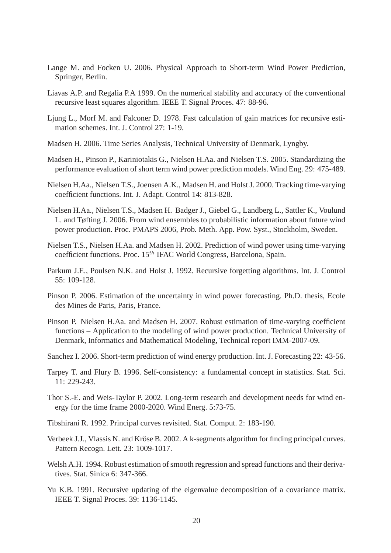- <span id="page-19-13"></span>Lange M. and Focken U. 2006. Physical Approach to Short-term Wind Power Prediction, Springer, Berlin.
- <span id="page-19-12"></span>Liavas A.P. and Regalia P.A 1999. On the numerical stability and accuracy of the conventional recursive least squares algorithm. IEEE T. Signal Proces. 47: 88-96.
- <span id="page-19-9"></span>Ljung L., Morf M. and Falconer D. 1978. Fast calculation of gain matrices for recursive estimation schemes. Int. J. Control 27: 1-19.
- <span id="page-19-11"></span>Madsen H. 2006. Time Series Analysis, Technical University of Denmark, Lyngby.
- <span id="page-19-16"></span>Madsen H., Pinson P., Kariniotakis G., Nielsen H.Aa. and Nielsen T.S. 2005. Standardizing the performance evaluation of short term wind power prediction models. Wind Eng. 29: 475-489.
- <span id="page-19-8"></span>Nielsen H.Aa., Nielsen T.S., Joensen A.K., Madsen H. and Holst J. 2000. Tracking time-varying coefficient functions. Int. J. Adapt. Control 14: 813-828.
- <span id="page-19-4"></span>Nielsen H.Aa., Nielsen T.S., Madsen H. Badger J., Giebel G., Landberg L., Sattler K., Voulund L. and Tøfting J. 2006. From wind ensembles to probabilistic information about future wind power production. Proc. PMAPS 2006, Prob. Meth. App. Pow. Syst., Stockholm, Sweden.
- <span id="page-19-1"></span>Nielsen T.S., Nielsen H.Aa. and Madsen H. 2002. Prediction of wind power using time-varying coefficient functions. Proc. 15<sup>th</sup> IFAC World Congress, Barcelona, Spain.
- <span id="page-19-17"></span>Parkum J.E., Poulsen N.K. and Holst J. 1992. Recursive forgetting algorithms. Int. J. Control 55: 109-128.
- <span id="page-19-14"></span>Pinson P. 2006. Estimation of the uncertainty in wind power forecasting. Ph.D. thesis, Ecole des Mines de Paris, Paris, France.
- <span id="page-19-3"></span>Pinson P. Nielsen H.Aa. and Madsen H. 2007. Robust estimation of time-varying coefficient functions – Application to the modeling of wind power production. Technical University of Denmark, Informatics and Mathematical Modeling, Technical report IMM-2007-09.
- <span id="page-19-2"></span>Sanchez I. 2006. Short-term prediction of wind energy production. Int. J. Forecasting 22: 43-56.
- <span id="page-19-7"></span>Tarpey T. and Flury B. 1996. Self-consistency: a fundamental concept in statistics. Stat. Sci. 11: 229-243.
- <span id="page-19-0"></span>Thor S.-E. and Weis-Taylor P. 2002. Long-term research and development needs for wind energy for the time frame 2000-2020. Wind Energ. 5:73-75.
- <span id="page-19-5"></span>Tibshirani R. 1992. Principal curves revisited. Stat. Comput. 2: 183-190.
- <span id="page-19-6"></span>Verbeek J.J., Vlassis N. and Kröse B. 2002. A k-segments algorithm for finding principal curves. Pattern Recogn. Lett. 23: 1009-1017.
- <span id="page-19-15"></span>Welsh A.H. 1994. Robust estimation of smooth regression and spread functions and their derivatives. Stat. Sinica 6: 347-366.
- <span id="page-19-10"></span>Yu K.B. 1991. Recursive updating of the eigenvalue decomposition of a covariance matrix. IEEE T. Signal Proces. 39: 1136-1145.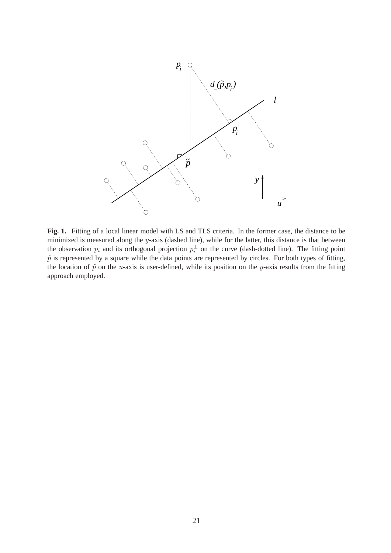

<span id="page-20-0"></span>**Fig. 1.** Fitting of a local linear model with LS and TLS criteria. In the former case, the distance to be minimized is measured along the y-axis (dashed line), while for the latter, this distance is that between the observation  $p_i$  and its orthogonal projection  $p_i^{\perp}$  $\frac{1}{i}$  on the curve (dash-dotted line). The fitting point  $\tilde{p}$  is represented by a square while the data points are represented by circles. For both types of fitting, the location of  $\tilde{p}$  on the u-axis is user-defined, while its position on the y-axis results from the fitting approach employed.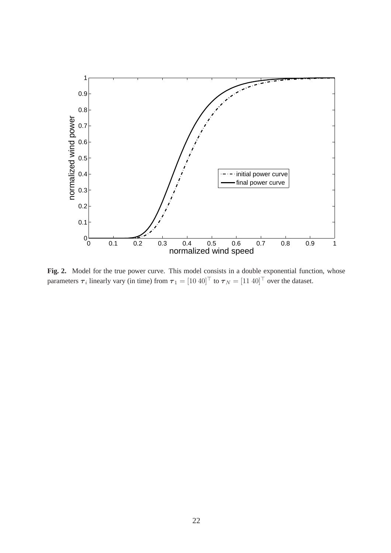

<span id="page-21-0"></span>Fig. 2. Model for the true power curve. This model consists in a double exponential function, whose parameters  $\tau_i$  linearly vary (in time) from  $\tau_1 = [10 \ 40]^{\top}$  to  $\tau_N = [11 \ 40]^{\top}$  over the dataset.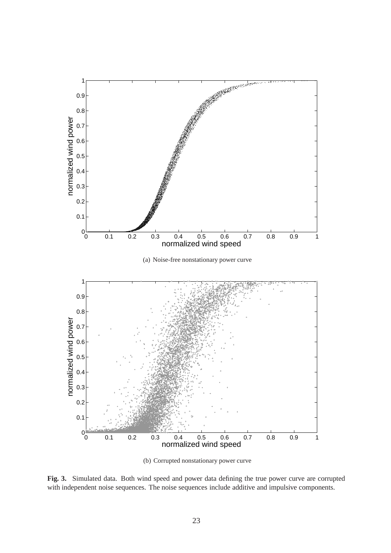<span id="page-22-0"></span>

(b) Corrupted nonstationary power curve

<span id="page-22-2"></span><span id="page-22-1"></span>**Fig. 3.** Simulated data. Both wind speed and power data defining the true power curve are corrupted with independent noise sequences. The noise sequences include additive and impulsive components.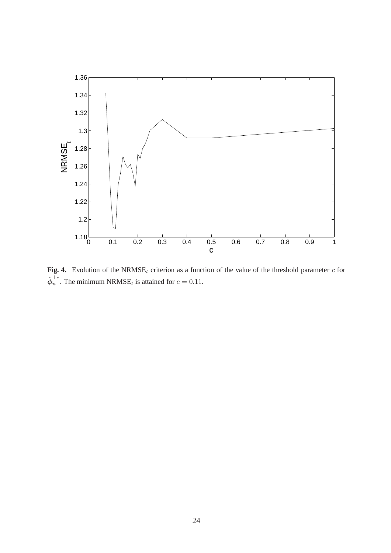

<span id="page-23-0"></span>**Fig. 4.** Evolution of the NRMSE<sub>t</sub> criterion as a function of the value of the threshold parameter  $c$  for  $\hat{\bm{\phi}}_n^{\perp *}$  $\overline{n}^*$ . The minimum NRMSE<sub>t</sub> is attained for  $c = 0.11$ .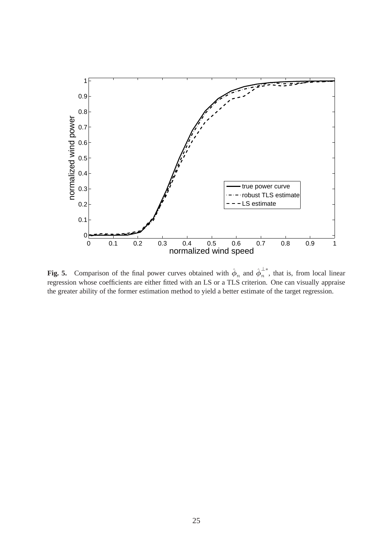

<span id="page-24-0"></span>**Fig. 5.** Comparison of the final power curves obtained with  $\hat{\phi}_n$  and  $\hat{\phi}_n^{\perp*}$  $\overline{n}$ , that is, from local linear regression whose coefficients are either fitted with an LS or a TLS criterion. One can visually appraise the greater ability of the former estimation method to yield a better estimate of the target regression.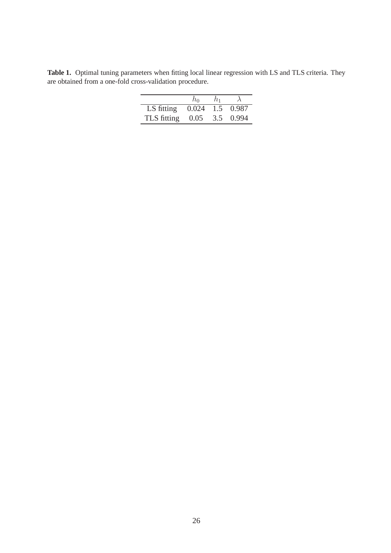<span id="page-25-0"></span>Table 1. Optimal tuning parameters when fitting local linear regression with LS and TLS criteria. They are obtained from a one-fold cross-validation procedure.

|             | $h_0$ | h1 |           |
|-------------|-------|----|-----------|
| LS fitting  | 0.024 |    | 1.5 0.987 |
| TLS fitting | 0.05  |    | 3.5 0.994 |